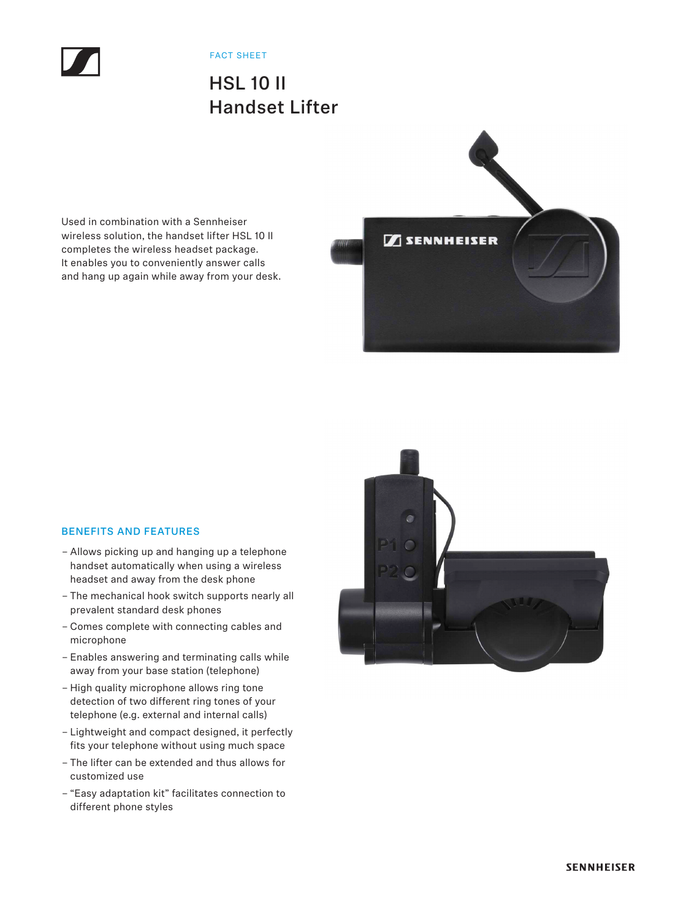

FACT SHEET

## HSL 10 II Handset Lifter

Used in combination with a Sennheiser wireless solution, the handset lifter HSL 10 II completes the wireless headset package. It enables you to conveniently answer calls and hang up again while away from your desk.



## BENEFITS AND FEATURES

- Allows picking up and hanging up a telephone handset automatically when using a wireless headset and away from the desk phone
- The mechanical hook switch supports nearly all prevalent standard desk phones
- Comes complete with connecting cables and microphone
- Enables answering and terminating calls while away from your base station (telephone)
- High quality microphone allows ring tone detection of two different ring tones of your telephone (e.g. external and internal calls)
- Lightweight and compact designed, it perfectly fits your telephone without using much space
- The lifter can be extended and thus allows for customized use
- "Easy adaptation kit" facilitates connection to different phone styles